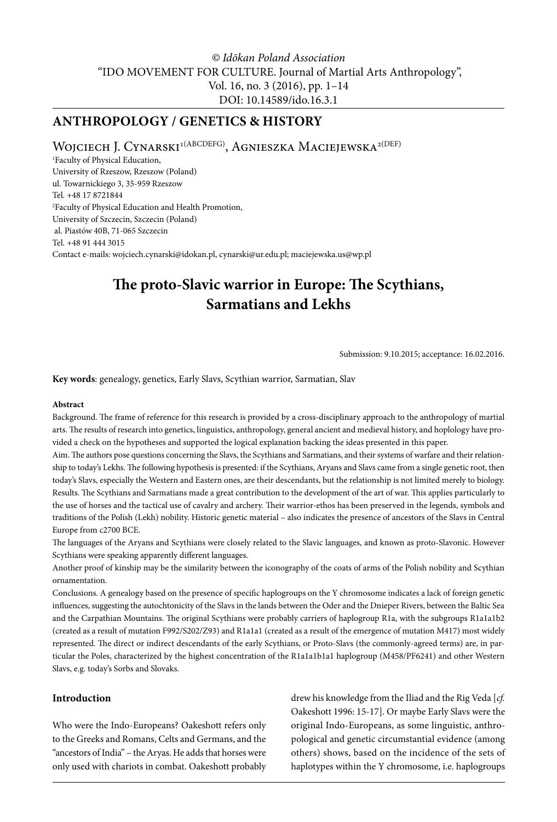# *© Idōkan Poland Association* "IDO MOVEMENT FOR CULTURE. Journal of Martial Arts Anthropology", Vol. 16, no. 3 (2016), pp. 1–14 DOI: 10.14589/ido.16.3.1

# **ANTHROPOLOGY / GENETICS & HISTORY**

WOJCIECH J. CYNARSKI<sup>1(ABCDEFG)</sup>, AGNIESZKA MACIEJEWSKA<sup>2(DEF)</sup>

1 Faculty of Physical Education, University of Rzeszow, Rzeszow (Poland) ul. Towarnickiego 3, 35-959 Rzeszow Tel. +48 17 8721844 2 Faculty of Physical Education and Health Promotion, University of Szczecin, Szczecin (Poland) al. Piastów 40B, 71-065 Szczecin Tel. +48 91 444 3015 Contact e-mails: [wojciech.cynarski@idokan.pl](mailto:wojciech.cynarski@idokan.pl), [cynarski@ur.edu.pl](mailto:cynarski@ur.edu.pl); [maciejewska.us@wp.pl](mailto:maciejewska.us@wp.pl)

# **The proto-Slavic warrior in Europe: The Scythians, Sarmatians and Lekhs**

Submission: 9.10.2015; acceptance: 16.02.2016.

**Key words**: genealogy, genetics, Early Slavs, Scythian warrior, Sarmatian, Slav

#### **Abstract**

Background. The frame of reference for this research is provided by a cross-disciplinary approach to the anthropology of martial arts. The results of research into genetics, linguistics, anthropology, general ancient and medieval history, and hoplology have provided a check on the hypotheses and supported the logical explanation backing the ideas presented in this paper.

Aim. The authors pose questions concerning the Slavs, the Scythians and Sarmatians, and their systems of warfare and their relationship to today's Lekhs. The following hypothesis is presented: if the Scythians, Aryans and Slavs came from a single genetic root, then today's Slavs, especially the Western and Eastern ones, are their descendants, but the relationship is not limited merely to biology. Results. The Scythians and Sarmatians made a great contribution to the development of the art of war. This applies particularly to the use of horses and the tactical use of cavalry and archery. Their warrior-ethos has been preserved in the legends, symbols and traditions of the Polish (Lekh) nobility. Historic genetic material – also indicates the presence of ancestors of the Slavs in Central Europe from c2700 BCE.

The languages of the Aryans and Scythians were closely related to the Slavic languages, and known as proto-Slavonic. However Scythians were speaking apparently different languages.

Another proof of kinship may be the similarity between the iconography of the coats of arms of the Polish nobility and Scythian ornamentation.

Conclusions. A genealogy based on the presence of specific haplogroups on the Y chromosome indicates a lack of foreign genetic influences, suggesting the autochtonicity of the Slavs in the lands between the Oder and the Dnieper Rivers, between the Baltic Sea and the Carpathian Mountains. The original Scythians were probably carriers of haplogroup R1a, with the subgroups R1a1a1b2 (created as a result of mutation F992/S202/Z93) and R1a1a1 (created as a result of the emergence of mutation M417) most widely represented. The direct or indirect descendants of the early Scythians, or Proto-Slavs (the commonly-agreed terms) are, in particular the Poles, characterized by the highest concentration of the R1a1a1b1a1 haplogroup (M458/PF6241) and other Western Slavs, e.g. today's Sorbs and Slovaks.

#### **Introduction**

Who were the Indo-Europeans? Oakeshott refers only to the Greeks and Romans, Celts and Germans, and the "ancestors of India" – the Aryas. He adds that horses were only used with chariots in combat. Oakeshott probably

drew his knowledge from the Iliad and the Rig Veda [*cf.* Oakeshott 1996: 15-17]. Or maybe Early Slavs were the original Indo-Europeans, as some linguistic, anthropological and genetic circumstantial evidence (among others) shows, based on the incidence of the sets of haplotypes within the Y chromosome, i.e. haplogroups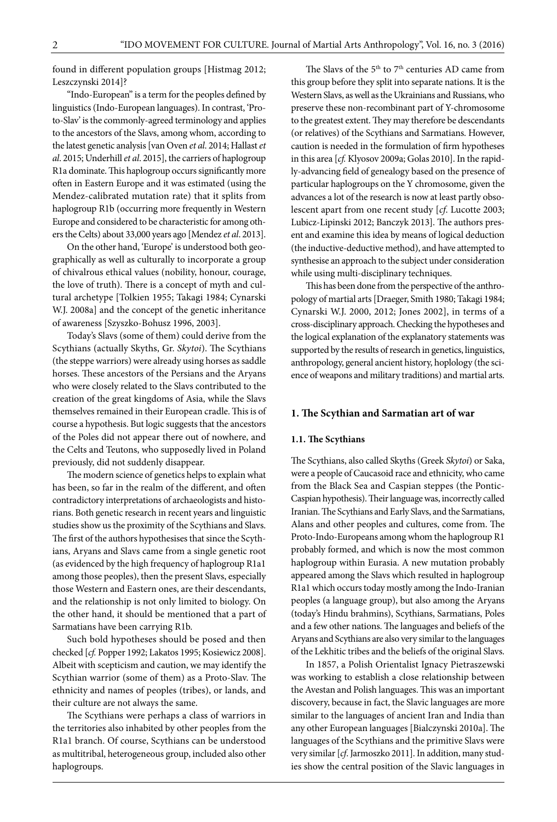found in different population groups [Histmag 2012; Leszczynski 2014]?

"Indo-European" is a term for the peoples defined by linguistics (Indo-European languages). In contrast, 'Proto-Slav' is the commonly-agreed terminology and applies to the ancestors of the Slavs, among whom, according to the latest genetic analysis [van Oven *et al*. 2014; Hallast *et al*. 2015; Underhill *et al*. 2015], the carriers of haplogroup R1a dominate. This haplogroup occurs significantly more often in Eastern Europe and it was estimated (using the Mendez-calibrated mutation rate) that it splits from haplogroup R1b (occurring more frequently in Western Europe and considered to be characteristic for among others the Celts) about 33,000 years ago [Mendez *et al*. 2013].

On the other hand, 'Europe' is understood both geographically as well as culturally to incorporate a group of chivalrous ethical values (nobility, honour, courage, the love of truth). There is a concept of myth and cultural archetype [Tolkien 1955; Takagi 1984; Cynarski W.J. 2008a] and the concept of the genetic inheritance of awareness [Szyszko-Bohusz 1996, 2003].

Today's Slavs (some of them) could derive from the Scythians (actually Skyths, Gr. *Skytoi*). The Scythians (the steppe warriors) were already using horses as saddle horses. These ancestors of the Persians and the Aryans who were closely related to the Slavs contributed to the creation of the great kingdoms of Asia, while the Slavs themselves remained in their European cradle. This is of course a hypothesis. But logic suggests that the ancestors of the Poles did not appear there out of nowhere, and the Celts and Teutons, who supposedly lived in Poland previously, did not suddenly disappear.

The modern science of genetics helps to explain what has been, so far in the realm of the different, and often contradictory interpretations of archaeologists and historians. Both genetic research in recent years and linguistic studies show us the proximity of the Scythians and Slavs. The first of the authors hypothesises that since the Scythians, Aryans and Slavs came from a single genetic root (as evidenced by the high frequency of haplogroup R1a1 among those peoples), then the present Slavs, especially those Western and Eastern ones, are their descendants, and the relationship is not only limited to biology. On the other hand, it should be mentioned that a part of Sarmatians have been carrying R1b.

Such bold hypotheses should be posed and then checked [*cf.* Popper 1992; Lakatos 1995; Kosiewicz 2008]. Albeit with scepticism and caution, we may identify the Scythian warrior (some of them) as a Proto-Slav. The ethnicity and names of peoples (tribes), or lands, and their culture are not always the same.

The Scythians were perhaps a class of warriors in the territories also inhabited by other peoples from the R1a1 branch. Of course, Scythians can be understood as multitribal, heterogeneous group, included also other haplogroups.

The Slavs of the  $5<sup>th</sup>$  to  $7<sup>th</sup>$  centuries AD came from this group before they split into separate nations. It is the Western Slavs, as well as the Ukrainians and Russians, who preserve these non-recombinant part of Y-chromosome to the greatest extent. They may therefore be descendants (or relatives) of the Scythians and Sarmatians. However, caution is needed in the formulation of firm hypotheses in this area [*cf.* Klyosov 2009a; Golas 2010]. In the rapidly-advancing field of genealogy based on the presence of particular haplogroups on the Y chromosome, given the advances a lot of the research is now at least partly obsolescent apart from one recent study [*cf*. Lucotte 2003; Lubicz-Lipinski 2012; Banczyk 2013]. The authors present and examine this idea by means of logical deduction (the inductive-deductive method), and have attempted to synthesise an approach to the subject under consideration while using multi-disciplinary techniques.

This has been done from the perspective of the anthropology of martial arts [Draeger, Smith 1980; Takagi 1984; Cynarski W.J. 2000, 2012; Jones 2002], in terms of a cross-disciplinary approach. Checking the hypotheses and the logical explanation of the explanatory statements was supported by the results of research in genetics, linguistics, anthropology, general ancient history, hoplology (the science of weapons and military traditions) and martial arts.

## **1. The Scythian and Sarmatian art of war**

#### **1.1. The Scythians**

The Scythians, also called Skyths (Greek Skytoi) or Saka, were a people of Caucasoid race and ethnicity, who came from the Black Sea and Caspian steppes (the Pontic-Caspian hypothesis). Their language was, incorrectly called Iranian. The Scythians and Early Slavs, and the Sarmatians, Alans and other peoples and cultures, come from. The Proto-Indo-Europeans among whom the haplogroup R1 probably formed, and which is now the most common haplogroup within Eurasia. A new mutation probably appeared among the Slavs which resulted in haplogroup R1a1 which occurs today mostly among the Indo-Iranian peoples (a language group), but also among the Aryans (today's Hindu brahmins), Scythians, Sarmatians, Poles and a few other nations. The languages and beliefs of the Aryans and Scythians are also very similar to the languages of the Lekhitic tribes and the beliefs of the original Slavs.

In 1857, a Polish Orientalist Ignacy Pietraszewski was working to establish a close relationship between the Avestan and Polish languages. This was an important discovery, because in fact, the Slavic languages are more similar to the languages of ancient Iran and India than any other European languages [Bialczynski 2010a]. The languages of the Scythians and the primitive Slavs were very similar [*cf*. Jarmoszko 2011]. In addition, many studies show the central position of the Slavic languages in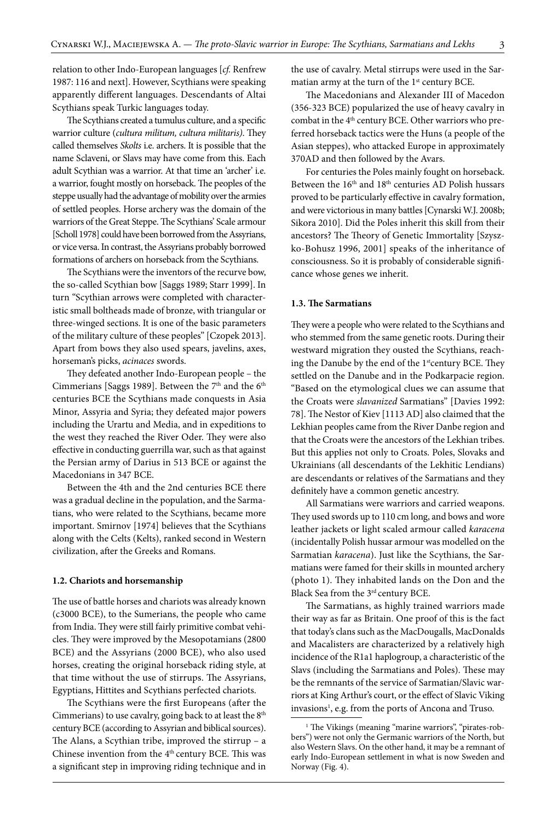relation to other Indo-European languages [*cf.* Renfrew 1987: 116 and next]. However, Scythians were speaking apparently different languages. Descendants of Altai Scythians speak Turkic languages today.

The Scythians created a tumulus culture, and a specific warrior culture (*cultura militum, cultura militaris)*. They called themselves *Skolts* i.e. archers. It is possible that the name Sclaveni, or Slavs may have come from this. Each adult Scythian was a warrior. At that time an 'archer' i.e. a warrior, fought mostly on horseback. The peoples of the steppe usually had the advantage of mobility over the armies of settled peoples. Horse archery was the domain of the warriors of the Great Steppe. The Scythians' Scale armour [Scholl 1978] could have been borrowed from the Assyrians, or vice versa. In contrast, the Assyrians probably borrowed formations of archers on horseback from the Scythians.

The Scythians were the inventors of the recurve bow, the so-called Scythian bow [Saggs 1989; Starr 1999]. In turn "Scythian arrows were completed with characteristic small boltheads made of bronze, with triangular or three-winged sections. It is one of the basic parameters of the military culture of these peoples" [Czopek 2013]. Apart from bows they also used spears, javelins, axes, horseman's picks, *acinaces* swords.

They defeated another Indo-European people - the Cimmerians [Saggs 1989]. Between the  $7<sup>th</sup>$  and the  $6<sup>th</sup>$ centuries BCE the Scythians made conquests in Asia Minor, Assyria and Syria; they defeated major powers including the Urartu and Media, and in expeditions to the west they reached the River Oder. They were also effective in conducting guerrilla war, such as that against the Persian army of Darius in 513 BCE or against the Macedonians in 347 BCE.

Between the 4th and the 2nd centuries BCE there was a gradual decline in the population, and the Sarmatians, who were related to the Scythians, became more important. Smirnov [1974] believes that the Scythians along with the Celts (Kelts), ranked second in Western civilization, after the Greeks and Romans.

#### **1.2. Chariots and horsemanship**

The use of battle horses and chariots was already known (c3000 BCE), to the Sumerians, the people who came from India. They were still fairly primitive combat vehicles. They were improved by the Mesopotamians (2800 BCE) and the Assyrians (2000 BCE), who also used horses, creating the original horseback riding style, at that time without the use of stirrups. The Assyrians, Egyptians, Hittites and Scythians perfected chariots.

The Scythians were the first Europeans (after the Cimmerians) to use cavalry, going back to at least the 8<sup>th</sup> century BCE (according to Assyrian and biblical sources). The Alans, a Scythian tribe, improved the stirrup – a Chinese invention from the  $4<sup>th</sup>$  century BCE. This was a significant step in improving riding technique and in the use of cavalry. Metal stirrups were used in the Sarmatian army at the turn of the 1<sup>st</sup> century BCE.

The Macedonians and Alexander III of Macedon (356-323 BCE) popularized the use of heavy cavalry in combat in the 4<sup>th</sup> century BCE. Other warriors who preferred horseback tactics were the Huns (a people of the Asian steppes), who attacked Europe in approximately 370AD and then followed by the Avars.

For centuries the Poles mainly fought on horseback. Between the 16<sup>th</sup> and 18<sup>th</sup> centuries AD Polish hussars proved to be particularly effective in cavalry formation, and were victorious in many battles [Cynarski W.J. 2008b; Sikora 2010]. Did the Poles inherit this skill from their ancestors? The Theory of Genetic Immortality [Szyszko-Bohusz 1996, 2001] speaks of the inheritance of consciousness. So it is probably of considerable significance whose genes we inherit.

#### **1.3. The Sarmatians**

They were a people who were related to the Scythians and who stemmed from the same genetic roots. During their westward migration they ousted the Scythians, reaching the Danube by the end of the 1st century BCE. They settled on the Danube and in the Podkarpacie region. "Based on the etymological clues we can assume that the Croats were *slavanized* Sarmatians" [Davies 1992: 78]. The Nestor of Kiev [1113 AD] also claimed that the Lekhian peoples came from the River Danbe region and that the Croats were the ancestors of the Lekhian tribes. But this applies not only to Croats. Poles, Slovaks and Ukrainians (all descendants of the Lekhitic Lendians) are descendants or relatives of the Sarmatians and they definitely have a common genetic ancestry.

All Sarmatians were warriors and carried weapons. They used swords up to 110 cm long, and bows and wore leather jackets or light scaled armour called *karacena* (incidentally Polish hussar armour was modelled on the Sarmatian *karacena*). Just like the Scythians, the Sarmatians were famed for their skills in mounted archery (photo 1). They inhabited lands on the Don and the Black Sea from the 3<sup>rd</sup> century BCE.

The Sarmatians, as highly trained warriors made their way as far as Britain. One proof of this is the fact that today's clans such as the MacDougalls, MacDonalds and Macalisters are characterized by a relatively high incidence of the R1a1 haplogroup, a characteristic of the Slavs (including the Sarmatians and Poles). These may be the remnants of the service of Sarmatian/Slavic warriors at King Arthur's court, or the effect of Slavic Viking invasions<sup>1</sup>, e.g. from the ports of Ancona and Truso.

<sup>&</sup>lt;sup>1</sup> The Vikings (meaning "marine warriors", "pirates-robbers") were not only the Germanic warriors of the North, but also Western Slavs. On the other hand, it may be a remnant of early Indo-European settlement in what is now Sweden and Norway (Fig. 4).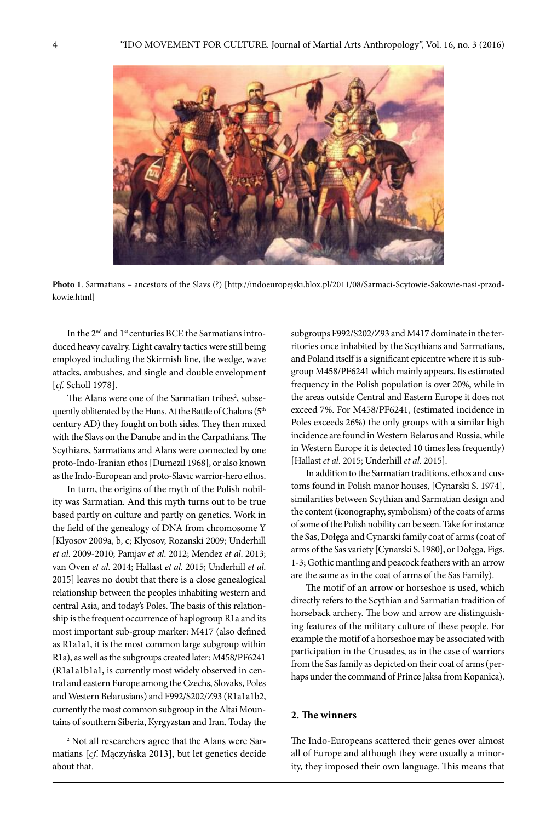

**Photo 1**. Sarmatians – ancestors of the Slavs (?) [[http://indoeuropejski.blox.pl/2011/08/Sarmaci-Scytowie-Sakowie-nasi-przod](http://indoeuropejski.blox.pl/2011/08/Sarmaci-Scytowie-Sakowie-nasi-przodkowie.html)[kowie.html\]](http://indoeuropejski.blox.pl/2011/08/Sarmaci-Scytowie-Sakowie-nasi-przodkowie.html)

In the 2nd and 1st centuries BCE the Sarmatians introduced heavy cavalry. Light cavalry tactics were still being employed including the Skirmish line, the wedge, wave attacks, ambushes, and single and double envelopment [*cf.* Scholl 1978].

The Alans were one of the Sarmatian tribes<sup>2</sup>, subsequently obliterated by the Huns. At the Battle of Chalons (5th century AD) they fought on both sides. They then mixed with the Slavs on the Danube and in the Carpathians. The Scythians, Sarmatians and Alans were connected by one proto-Indo-Iranian ethos [Dumezil 1968], or also known as the Indo-European and proto-Slavic warrior-hero ethos.

In turn, the origins of the myth of the Polish nobility was Sarmatian. And this myth turns out to be true based partly on culture and partly on genetics. Work in the field of the genealogy of DNA from chromosome Y [Klyosov 2009a, b, c; Klyosov, Rozanski 2009; Underhill *et al*. 2009-2010; Pamjav *et al*. 2012; Mendez *et al*. 2013; van Oven *et al*. 2014; Hallast *et al*. 2015; Underhill *et al*. 2015] leaves no doubt that there is a close genealogical relationship between the peoples inhabiting western and central Asia, and today's Poles. The basis of this relationship is the frequent occurrence of haplogroup R1a and its most important sub-group marker: M417 (also defined as R1a1a1, it is the most common large subgroup within R1a), as well as the subgroups created later: M458/PF6241 (R1a1a1b1a1, is currently most widely observed in central and eastern Europe among the Czechs, Slovaks, Poles and Western Belarusians) and F992/S202/Z93 (R1a1a1b2, currently the most common subgroup in the Altai Mountains of southern Siberia, Kyrgyzstan and Iran. Today the

subgroups F992/S202/Z93 and M417 dominate in the territories once inhabited by the Scythians and Sarmatians, and Poland itself is a significant epicentre where it is subgroup M458/PF6241 which mainly appears. Its estimated frequency in the Polish population is over 20%, while in the areas outside Central and Eastern Europe it does not exceed 7%. For M458/PF6241, (estimated incidence in Poles exceeds 26%) the only groups with a similar high incidence are found in Western Belarus and Russia, while in Western Europe it is detected 10 times less frequently) [Hallast *et al*. 2015; Underhill *et al*. 2015].

In addition to the Sarmatian traditions, ethos and customs found in Polish manor houses, [Cynarski S. 1974], similarities between Scythian and Sarmatian design and the content (iconography, symbolism) of the coats of arms of some of the Polish nobility can be seen. Take for instance the Sas, Dołęga and Cynarski family coat of arms (coat of arms of the Sas variety [Cynarski S. 1980], or Dołęga, Figs. 1-3; Gothic mantling and peacock feathers with an arrow are the same as in the coat of arms of the Sas Family).

The motif of an arrow or horseshoe is used, which directly refers to the Scythian and Sarmatian tradition of horseback archery. The bow and arrow are distinguishing features of the military culture of these people. For example the motif of a horseshoe may be associated with participation in the Crusades, as in the case of warriors from the Sas family as depicted on their coat of arms (perhaps under the command of Prince Jaksa from Kopanica).

# **2. The winners**

The Indo-Europeans scattered their genes over almost all of Europe and although they were usually a minority, they imposed their own language. This means that

<sup>2</sup> Not all researchers agree that the Alans were Sarmatians [*cf*. Mączyńska 2013], but let genetics decide about that.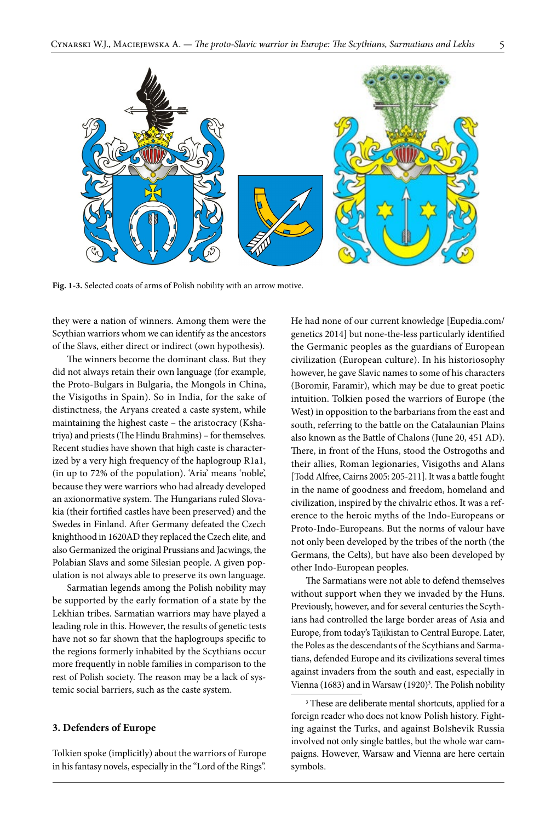

**Fig. 1-3.** Selected coats of arms of Polish nobility with an arrow motive.

they were a nation of winners. Among them were the Scythian warriors whom we can identify as the ancestors of the Slavs, either direct or indirect (own hypothesis).

The winners become the dominant class. But they did not always retain their own language (for example, the Proto-Bulgars in Bulgaria, the Mongols in China, the Visigoths in Spain). So in India, for the sake of distinctness, the Aryans created a caste system, while maintaining the highest caste – the aristocracy (Kshatriya) and priests (The Hindu Brahmins) – for themselves. Recent studies have shown that high caste is characterized by a very high frequency of the haplogroup R1a1, (in up to 72% of the population). 'Aria' means 'noble', because they were warriors who had already developed an axionormative system. The Hungarians ruled Slovakia (their fortified castles have been preserved) and the Swedes in Finland. After Germany defeated the Czech knighthood in 1620AD they replaced the Czech elite, and also Germanized the original Prussians and Jacwings, the Polabian Slavs and some Silesian people. A given population is not always able to preserve its own language.

Sarmatian legends among the Polish nobility may be supported by the early formation of a state by the Lekhian tribes. Sarmatian warriors may have played a leading role in this. However, the results of genetic tests have not so far shown that the haplogroups specific to the regions formerly inhabited by the Scythians occur more frequently in noble families in comparison to the rest of Polish society. The reason may be a lack of systemic social barriers, such as the caste system.

#### **3. Defenders of Europe**

Tolkien spoke (implicitly) about the warriors of Europe in his fantasy novels, especially in the "Lord of the Rings".

He had none of our current knowledge [Eupedia.com/ genetics 2014] but none-the-less particularly identified the Germanic peoples as the guardians of European civilization (European culture). In his historiosophy however, he gave Slavic names to some of his characters (Boromir, Faramir), which may be due to great poetic intuition. Tolkien posed the warriors of Europe (the West) in opposition to the barbarians from the east and south, referring to the battle on the Catalaunian Plains also known as the Battle of Chalons (June 20, 451 AD). There, in front of the Huns, stood the Ostrogoths and their allies, Roman legionaries, Visigoths and Alans [Todd Alfree, Cairns 2005: 205-211]. It was a battle fought in the name of goodness and freedom, homeland and civilization, inspired by the chivalric ethos. It was a reference to the heroic myths of the Indo-Europeans or Proto-Indo-Europeans. But the norms of valour have not only been developed by the tribes of the north (the Germans, the Celts), but have also been developed by other Indo-European peoples.

The Sarmatians were not able to defend themselves without support when they we invaded by the Huns. Previously, however, and for several centuries the Scythians had controlled the large border areas of Asia and Europe, from today's Tajikistan to Central Europe. Later, the Poles as the descendants of the Scythians and Sarmatians, defended Europe and its civilizations several times against invaders from the south and east, especially in Vienna (1683) and in Warsaw (1920)<sup>3</sup>. The Polish nobility

<sup>3</sup> These are deliberate mental shortcuts, applied for a foreign reader who does not know Polish history. Fighting against the Turks, and against Bolshevik Russia involved not only single battles, but the whole war campaigns. However, Warsaw and Vienna are here certain symbols.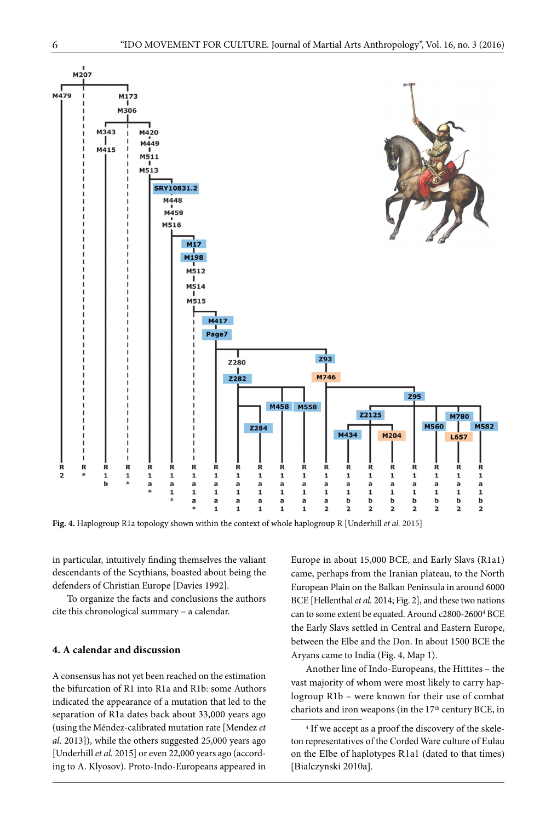

**Fig. 4.** Haplogroup R1a topology shown within the context of whole haplogroup R [Underhill *et al.* 2015]

in particular, intuitively finding themselves the valiant descendants of the Scythians, boasted about being the defenders of Christian Europe [Davies 1992].

To organize the facts and conclusions the authors cite this chronological summary – a calendar.

#### **4. A calendar and discussion**

A consensus has not yet been reached on the estimation the bifurcation of R1 into R1a and R1b: some Authors indicated the appearance of a mutation that led to the separation of R1a dates back about 33,000 years ago (using the Méndez-calibrated mutation rate [Mendez *et al*. 2013]), while the others suggested 25,000 years ago [Underhill *et al.* 2015] or even 22,000 years ago (according to A. Klyosov). Proto-Indo-Europeans appeared in

Europe in about 15,000 BCE, and Early Slavs (R1a1) came, perhaps from the Iranian plateau, to the North European Plain on the Balkan Peninsula in around 6000 BCE [Hellenthal *et al.* 2014; Fig. 2], and these two nations can to some extent be equated. Around c2800-2600<sup>4</sup> BCE the Early Slavs settled in Central and Eastern Europe, between the Elbe and the Don. In about 1500 BCE the Aryans came to India (Fig. 4, Map 1).

Another line of Indo-Europeans, the Hittites – the vast majority of whom were most likely to carry haplogroup R1b – were known for their use of combat chariots and iron weapons (in the  $17<sup>th</sup>$  century BCE, in

4 If we accept as a proof the discovery of the skeleton representatives of the Corded Ware culture of Eulau on the Elbe of haplotypes R1a1 (dated to that times) [Bialczynski 2010a].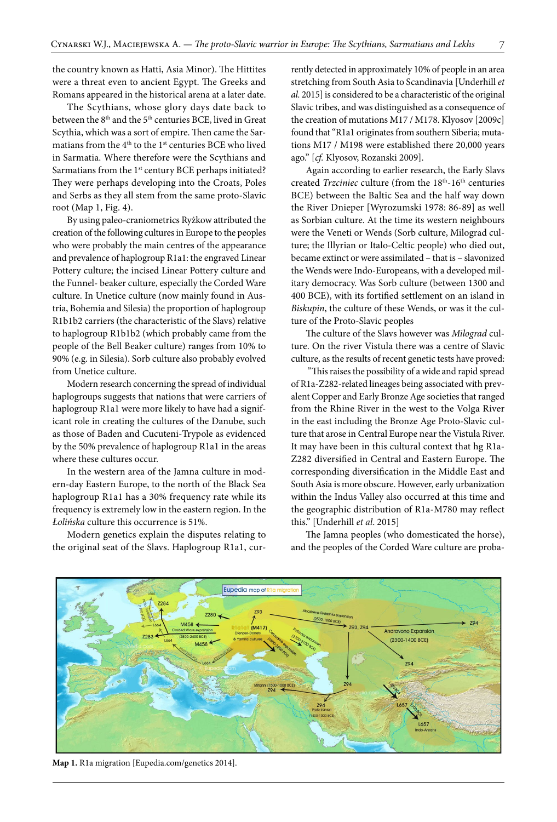the country known as Hatti, Asia Minor). The Hittites were a threat even to ancient Egypt. The Greeks and Romans appeared in the historical arena at a later date.

The Scythians, whose glory days date back to between the  $8<sup>th</sup>$  and the  $5<sup>th</sup>$  centuries BCE, lived in Great Scythia, which was a sort of empire. Then came the Sarmatians from the 4<sup>th</sup> to the 1<sup>st</sup> centuries BCE who lived in Sarmatia. Where therefore were the Scythians and Sarmatians from the 1<sup>st</sup> century BCE perhaps initiated? They were perhaps developing into the Croats, Poles and Serbs as they all stem from the same proto-Slavic root (Map 1, Fig. 4).

By using paleo-craniometrics Ryżkow attributed the creation of the following cultures in Europe to the peoples who were probably the main centres of the appearance and prevalence of haplogroup R1a1: the engraved Linear Pottery culture; the incised Linear Pottery culture and the Funnel- beaker culture, especially the Corded Ware culture. In Unetice culture (now mainly found in Austria, Bohemia and Silesia) the proportion of haplogroup R1b1b2 carriers (the characteristic of the Slavs) relative to haplogroup R1b1b2 (which probably came from the people of the Bell Beaker culture) ranges from 10% to 90% (e.g. in Silesia). Sorb culture also probably evolved from Unetice culture.

Modern research concerning the spread of individual haplogroups suggests that nations that were carriers of haplogroup R1a1 were more likely to have had a significant role in creating the cultures of the Danube, such as those of Baden and Cucuteni-Trypole as evidenced by the 50% prevalence of haplogroup R1a1 in the areas where these cultures occur.

In the western area of the Jamna culture in modern-day Eastern Europe, to the north of the Black Sea haplogroup R1a1 has a 30% frequency rate while its frequency is extremely low in the eastern region. In the *Łolińska* culture this occurrence is 51%.

Modern genetics explain the disputes relating to the original seat of the Slavs. Haplogroup R1a1, currently detected in approximately 10% of people in an area stretching from South Asia to Scandinavia [Underhill *et al.* 2015] is considered to be a characteristic of the original Slavic tribes, and was distinguished as a consequence of the creation of mutations M17 / M178. Klyosov [2009c] found that "R1a1 originates from southern Siberia; mutations M17 / M198 were established there 20,000 years ago." [*cf.* Klyosov, Rozanski 2009].

Again according to earlier research, the Early Slavs created *Trzciniec* culture (from the 18<sup>th</sup>-16<sup>th</sup> centuries BCE) between the Baltic Sea and the half way down the River Dnieper [Wyrozumski 1978: 86-89] as well as Sorbian culture. At the time its western neighbours were the Veneti or Wends (Sorb culture, Milograd culture; the Illyrian or Italo-Celtic people) who died out, became extinct or were assimilated – that is – slavonized the Wends were Indo-Europeans, with a developed military democracy. Was Sorb culture (between 1300 and 400 BCE), with its fortified settlement on an island in *Biskupin*, the culture of these Wends, or was it the culture of the Proto-Slavic peoples

The culture of the Slavs however was *Milograd* culture. On the river Vistula there was a centre of Slavic culture, as the results of recent genetic tests have proved:

 "This raises the possibility of a wide and rapid spread of R1a-Z282-related lineages being associated with prevalent Copper and Early Bronze Age societies that ranged from the Rhine River in the west to the Volga River in the east including the Bronze Age Proto-Slavic culture that arose in Central Europe near the Vistula River. It may have been in this cultural context that hg R1a-Z282 diversified in Central and Eastern Europe. The corresponding diversification in the Middle East and South Asia is more obscure. However, early urbanization within the Indus Valley also occurred at this time and the geographic distribution of R1a-M780 may reflect this." [Underhill *et al*. 2015]

The Jamna peoples (who domesticated the horse), and the peoples of the Corded Ware culture are proba-



**Map 1.** R1a migration [[Eupedia.com/genetics](http://WWW.Eupedia.com/genetics) 2014].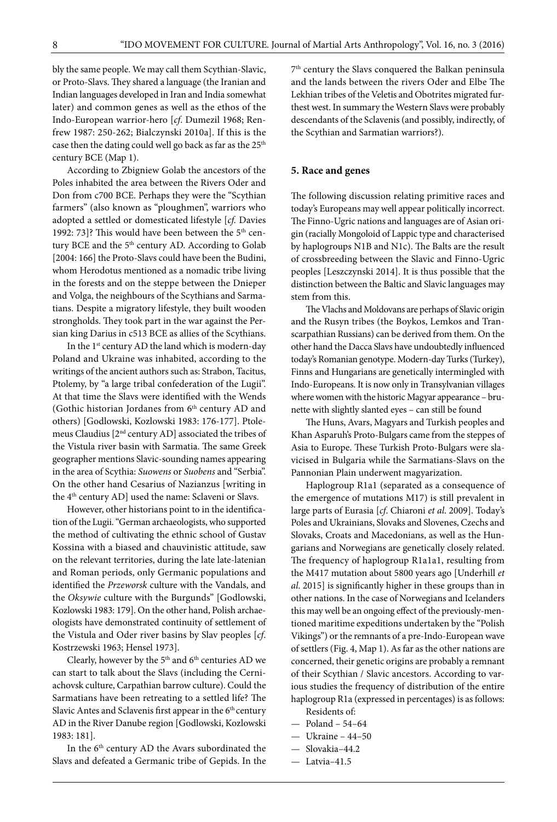bly the same people. We may call them Scythian-Slavic, or Proto-Slavs. They shared a language (the Iranian and Indian languages developed in Iran and India somewhat later) and common genes as well as the ethos of the Indo-European warrior-hero [*cf*. Dumezil 1968; Renfrew 1987: 250-262; Bialczynski 2010a]. If this is the case then the dating could well go back as far as the 25<sup>th</sup> century BCE (Map 1).

According to Zbigniew Golab the ancestors of the Poles inhabited the area between the Rivers Oder and Don from c700 BCE. Perhaps they were the "Scythian farmers" (also known as "ploughmen", warriors who adopted a settled or domesticated lifestyle [*cf.* Davies 1992: 73]? This would have been between the 5<sup>th</sup> century BCE and the 5<sup>th</sup> century AD. According to Golab [2004: 166] the Proto-Slavs could have been the Budini, whom Herodotus mentioned as a nomadic tribe living in the forests and on the steppe between the Dnieper and Volga, the neighbours of the Scythians and Sarmatians. Despite a migratory lifestyle, they built wooden strongholds. They took part in the war against the Persian king Darius in c513 BCE as allies of the Scythians.

In the 1<sup>st</sup> century AD the land which is modern-day Poland and Ukraine was inhabited, according to the writings of the ancient authors such as: Strabon, Tacitus, Ptolemy, by "a large tribal confederation of the Lugii". At that time the Slavs were identified with the Wends (Gothic historian Jordanes from  $6<sup>th</sup>$  century AD and others) [Godlowski, Kozlowski 1983: 176-177]. Ptolemeus Claudius [2nd century AD] associated the tribes of the Vistula river basin with Sarmatia. The same Greek geographer mentions Slavic-sounding names appearing in the area of Scythia: *Suowens* or *Suobens* and "Serbia". On the other hand Cesarius of Nazianzus [writing in the 4<sup>th</sup> century AD] used the name: Sclaveni or Slavs.

However, other historians point to in the identification of the Lugii. "German archaeologists, who supported the method of cultivating the ethnic school of Gustav Kossina with a biased and chauvinistic attitude, saw on the relevant territories, during the late late-latenian and Roman periods, only Germanic populations and identified the *Przeworsk* culture with the Vandals, and the *Oksywie* culture with the Burgunds" [Godlowski, Kozlowski 1983: 179]. On the other hand, Polish archaeologists have demonstrated continuity of settlement of the Vistula and Oder river basins by Slav peoples [*cf*. Kostrzewski 1963; Hensel 1973].

Clearly, however by the  $5<sup>th</sup>$  and  $6<sup>th</sup>$  centuries AD we can start to talk about the Slavs (including the Cerniachovsk culture, Carpathian barrow culture). Could the Sarmatians have been retreating to a settled life? The Slavic Antes and Sclavenis first appear in the 6<sup>th</sup> century AD in the River Danube region [Godlowski, Kozlowski 1983: 181].

In the 6<sup>th</sup> century AD the Avars subordinated the Slavs and defeated a Germanic tribe of Gepids. In the

7th century the Slavs conquered the Balkan peninsula and the lands between the rivers Oder and Elbe The Lekhian tribes of the Veletis and Obotrites migrated furthest west. In summary the Western Slavs were probably descendants of the Sclavenis (and possibly, indirectly, of the Scythian and Sarmatian warriors?).

# **5. Race and genes**

The following discussion relating primitive races and today's Europeans may well appear politically incorrect. The Finno-Ugric nations and languages are of Asian origin (racially Mongoloid of Lappic type and characterised by haplogroups N1B and N1c). The Balts are the result of crossbreeding between the Slavic and Finno-Ugric peoples [Leszczynski 2014]. It is thus possible that the distinction between the Baltic and Slavic languages may stem from this.

The Vlachs and Moldovans are perhaps of Slavic origin and the Rusyn tribes (the Boykos, Lemkos and Transcarpathian Russians) can be derived from them. On the other hand the Dacca Slavs have undoubtedly influenced today's Romanian genotype. Modern-day Turks (Turkey), Finns and Hungarians are genetically intermingled with Indo-Europeans. It is now only in Transylvanian villages where women with the historic Magyar appearance – brunette with slightly slanted eyes – can still be found

The Huns, Avars, Magyars and Turkish peoples and Khan Asparuh's Proto-Bulgars came from the steppes of Asia to Europe. These Turkish Proto-Bulgars were slavicised in Bulgaria while the Sarmatians-Slavs on the Pannonian Plain underwent magyarization.

Haplogroup R1a1 (separated as a consequence of the emergence of mutations M17) is still prevalent in large parts of Eurasia [*cf*. Chiaroni *et al*. 2009]. Today's Poles and Ukrainians, Slovaks and Slovenes, Czechs and Slovaks, Croats and Macedonians, as well as the Hungarians and Norwegians are genetically closely related. The frequency of haplogroup R1a1a1, resulting from the M417 mutation about 5800 years ago [Underhill *et al*. 2015] is significantly higher in these groups than in other nations. In the case of Norwegians and Icelanders this may well be an ongoing effect of the previously-mentioned maritime expeditions undertaken by the "Polish Vikings") or the remnants of a pre-Indo-European wave of settlers (Fig. 4, Map 1). As far as the other nations are concerned, their genetic origins are probably a remnant of their Scythian / Slavic ancestors. According to various studies the frequency of distribution of the entire haplogroup R1a (expressed in percentages) is as follows:

Residents of:

- Poland 54–64
- Ukraine 44–50
- Slovakia–44.2
- Latvia–41.5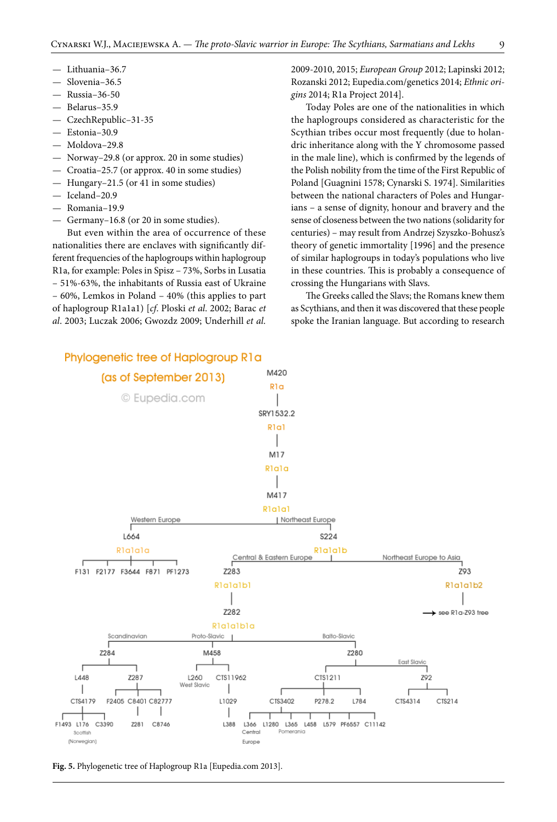- Lithuania–36.7
- Slovenia-36.5
- Russia–36-50
- Belarus–35.9
- CzechRepublic–31-35
- Estonia–30.9
- Moldova–29.8
- Norway–29.8 (or approx. 20 in some studies)
- Croatia–25.7 (or approx. 40 in some studies)
- Hungary–21.5 (or 41 in some studies)
- Iceland–20.9
- Romania–19.9
- Germany–16.8 (or 20 in some studies).

But even within the area of occurrence of these nationalities there are enclaves with significantly different frequencies of the haplogroups within haplogroup R1a, for example: Poles in Spisz – 73%, Sorbs in Lusatia – 51%-63%, the inhabitants of Russia east of Ukraine – 60%, Lemkos in Poland – 40% (this applies to part of haplogroup R1a1a1) [*cf*. Ploski *et al*. 2002; Barac *et al*. 2003; Luczak 2006; Gwozdz 2009; Underhill *et al.* 

2009-2010, 2015; *European Group* 2012; Lapinski 2012; Rozanski 2012; Eupedia.com/genetics 2014; *Ethnic origins* 2014; R1a Project 2014].

Today Poles are one of the nationalities in which the haplogroups considered as characteristic for the Scythian tribes occur most frequently (due to holandric inheritance along with the Y chromosome passed in the male line), which is confirmed by the legends of the Polish nobility from the time of the First Republic of Poland [Guagnini 1578; Cynarski S. 1974]. Similarities between the national characters of Poles and Hungarians – a sense of dignity, honour and bravery and the sense of closeness between the two nations (solidarity for centuries) – may result from Andrzej Szyszko-Bohusz's theory of genetic immortality [1996] and the presence of similar haplogroups in today's populations who live in these countries. This is probably a consequence of crossing the Hungarians with Slavs.

The Greeks called the Slavs; the Romans knew them as Scythians, and then it was discovered that these people spoke the Iranian language. But according to research



**Fig. 5.** Phylogenetic tree of Haplogroup R1a [Eupedia.com 2013].

# Phylogenetic tree of Haplogroup R1a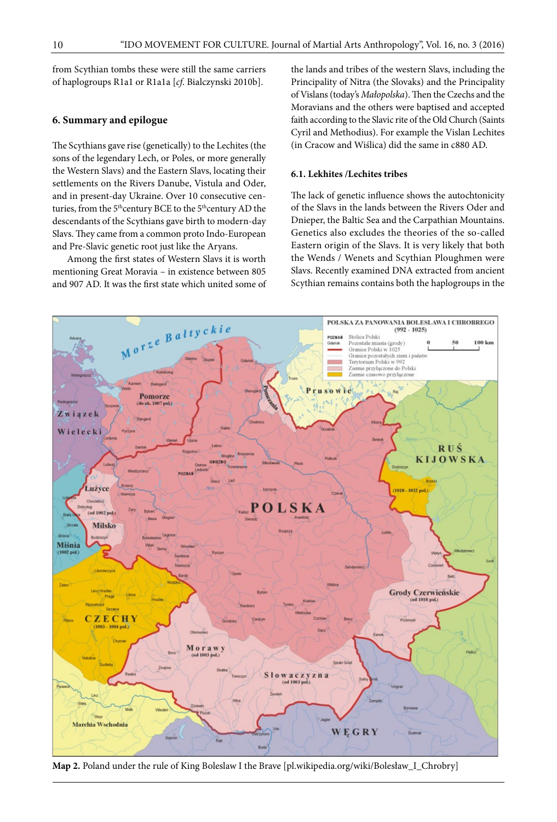from Scythian tombs these were still the same carriers of haplogroups R1a1 or R1a1a [*cf*. Bialczynski 2010b].

## **6. Summary and epilogue**

The Scythians gave rise (genetically) to the Lechites (the sons of the legendary Lech, or Poles, or more generally the Western Slavs) and the Eastern Slavs, locating their settlements on the Rivers Danube, Vistula and Oder, and in present-day Ukraine. Over 10 consecutive centuries, from the 5<sup>th</sup>century BCE to the 5<sup>th</sup>century AD the descendants of the Scythians gave birth to modern-day Slavs. They came from a common proto Indo-European and Pre-Slavic genetic root just like the Aryans.

Among the first states of Western Slavs it is worth mentioning Great Moravia – in existence between 805 and 907 AD. It was the first state which united some of

the lands and tribes of the western Slavs, including the Principality of Nitra (the Slovaks) and the Principality of Vislans (today's *Małopolska*). Then the Czechs and the Moravians and the others were baptised and accepted faith according to the Slavic rite of the Old Church (Saints Cyril and Methodius). For example the Vislan Lechites (in Cracow and Wiślica) did the same in c880 AD.

#### **6.1. Lekhites /Lechites tribes**

The lack of genetic influence shows the autochtonicity of the Slavs in the lands between the Rivers Oder and Dnieper, the Baltic Sea and the Carpathian Mountains. Genetics also excludes the theories of the so-called Eastern origin of the Slavs. It is very likely that both the Wends / Wenets and Scythian Ploughmen were Slavs. Recently examined DNA extracted from ancient Scythian remains contains both the haplogroups in the



**Map 2.** Poland under the rule of King Boleslaw I the Brave [pl.wikipedia.org/wiki/Bolesław\_I\_Chrobry]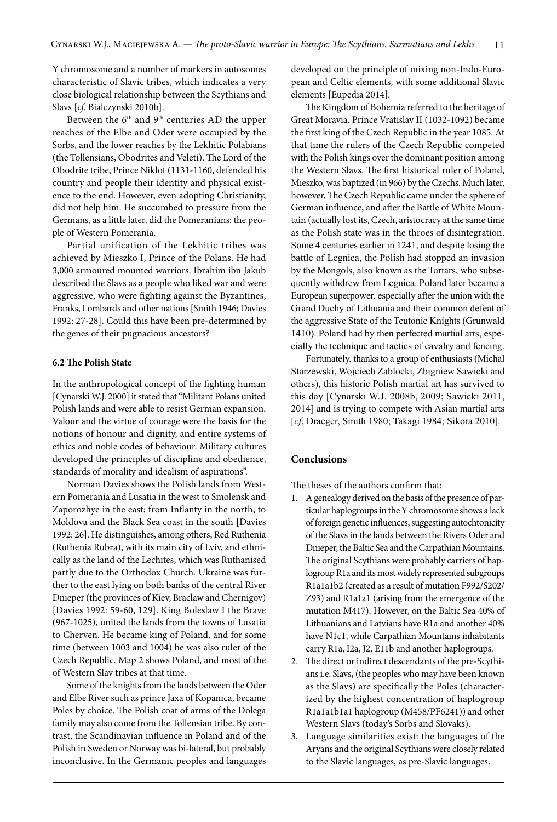Y chromosome and a number of markers in autosomes characteristic of Slavic tribes, which indicates a very close biological relationship between the Scythians and Slavs [*cf.* Bialczynski 2010b].

Between the 6<sup>th</sup> and 9<sup>th</sup> centuries AD the upper reaches of the Elbe and Oder were occupied by the Sorbs, and the lower reaches by the Lekhitic Polabians (the Tollensians, Obodrites and Veleti). The Lord of the Obodrite tribe, Prince Niklot (1131-1160, defended his country and people their identity and physical existence to the end. However, even adopting Christianity, did not help him. He succumbed to pressure from the Germans, as a little later, did the Pomeranians: the people of Western Pomerania.

Partial unification of the Lekhitic tribes was achieved by Mieszko I, Prince of the Polans. He had 3,000 armoured mounted warriors. Ibrahim ibn Jakub described the Slavs as a people who liked war and were aggressive, who were fighting against the Byzantines, Franks, Lombards and other nations [Smith 1946; Davies 1992: 27-28]. Could this have been pre-determined by the genes of their pugnacious ancestors?

# **6.2 The Polish State**

In the anthropological concept of the fighting human [Cynarski W.J. 2000] it stated that "Militant Polans united Polish lands and were able to resist German expansion. Valour and the virtue of courage were the basis for the notions of honour and dignity, and entire systems of ethics and noble codes of behaviour. Military cultures developed the principles of discipline and obedience, standards of morality and idealism of aspirations".

Norman Davies shows the Polish lands from Western Pomerania and Lusatia in the west to Smolensk and Zaporozhye in the east; from Inflanty in the north, to Moldova and the Black Sea coast in the south [Davies 1992: 26]. He distinguishes, among others, Red Ruthenia (Ruthenia Rubra), with its main city of Lviv, and ethnically as the land of the Lechites, which was Ruthanised partly due to the Orthodox Church. Ukraine was further to the east lying on both banks of the central River Dnieper (the provinces of Kiev, Braclaw and Chernigov) [Davies 1992: 59-60, 129]. King Boleslaw I the Brave (967-1025), united the lands from the towns of Lusatia to Cherven. He became king of Poland, and for some time (between 1003 and 1004) he was also ruler of the Czech Republic. Map 2 shows Poland, and most of the of Western Slav tribes at that time.

Some of the knights from the lands between the Oder and Elbe River such as prince Jaxa of Kopanica, became Poles by choice. The Polish coat of arms of the Dolega family may also come from the Tollensian tribe. By contrast, the Scandinavian influence in Poland and of the Polish in Sweden or Norway was bi-lateral, but probably inconclusive. In the Germanic peoples and languages

developed on the principle of mixing non-Indo-European and Celtic elements, with some additional Slavic elements [Eupedia 2014].

The Kingdom of Bohemia referred to the heritage of Great Moravia. Prince Vratislav II (1032-1092) became the first king of the Czech Republic in the year 1085. At that time the rulers of the Czech Republic competed with the Polish kings over the dominant position among the Western Slavs. The first historical ruler of Poland, Mieszko, was baptized (in 966) by the Czechs. Much later, however, The Czech Republic came under the sphere of German influence, and after the Battle of White Mountain (actually lost its, Czech, aristocracy at the same time as the Polish state was in the throes of disintegration. Some 4 centuries earlier in 1241, and despite losing the battle of Legnica, the Polish had stopped an invasion by the Mongols, also known as the Tartars, who subsequently withdrew from Legnica. Poland later became a European superpower, especially after the union with the Grand Duchy of Lithuania and their common defeat of the aggressive State of the Teutonic Knights (Grunwald 1410). Poland had by then perfected martial arts, especially the technique and tactics of cavalry and fencing.

Fortunately, thanks to a group of enthusiasts (Michal Starzewski, Wojciech Zablocki, Zbigniew Sawicki and others), this historic Polish martial art has survived to this day [Cynarski W.J. 2008b, 2009; Sawicki 2011, 2014] and is trying to compete with Asian martial arts [*cf*. Draeger, Smith 1980; Takagi 1984; Sikora 2010].

## **Conclusions**

The theses of the authors confirm that:

- 1. A genealogy derived on the basis of the presence of particular haplogroups in the Y chromosome shows a lack of foreign genetic influences, suggesting autochtonicity of the Slavs in the lands between the Rivers Oder and Dnieper, the Baltic Sea and the Carpathian Mountains. The original Scythians were probably carriers of haplogroup R1a and its most widely represented subgroups R1a1a1b2 (created as a result of mutation F992/S202/ Z93) and R1a1a1 (arising from the emergence of the mutation M417). However, on the Baltic Sea 40% of Lithuanians and Latvians have R1a and another 40% have N1c1, while Carpathian Mountains inhabitants carry R1a, I2a, J2, E11b and another haplogroups.
- 2. The direct or indirect descendants of the pre-Scythians i.e. Slavs**,** (the peoples who may have been known as the Slavs) are specifically the Poles (characterized by the highest concentration of haplogroup R1a1a1b1a1 haplogroup (M458/PF6241)) and other Western Slavs (today's Sorbs and Slovaks).
- 3. Language similarities exist: the languages of the Aryans and the original Scythians were closely related to the Slavic languages, as pre-Slavic languages.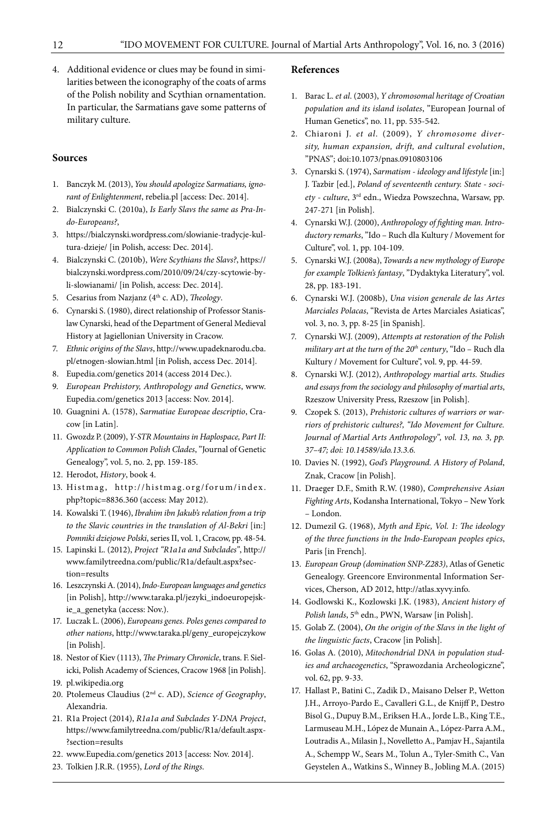4. Additional evidence or clues may be found in similarities between the iconography of the coats of arms of the Polish nobility and Scythian ornamentation. In particular, the Sarmatians gave some patterns of military culture.

#### **Sources**

- 1. Banczyk M. (2013), *You should apologize Sarmatians, ignorant of Enlightenment*, rebelia.pl [access: Dec. 2014].
- 2. Bialczynski C. (2010a), *Is Early Slavs the same as Pra-Indo-Europeans?*,
- 3. [https://bialczynski.wordpress.com/slowianie-tradycje-kul](https://bialczynski.wordpress.com/slowianie-tradycje-kultura-dzieje/)[tura-dzieje/](https://bialczynski.wordpress.com/slowianie-tradycje-kultura-dzieje/) [in Polish, access: Dec. 2014].
- 4. Bialczynski C. (2010b), *Were Scythians the Slavs?*, [https://](https://bialczynski.wordpress.com/2010/09/24/czy-scytowie-byli-slowianami/) [bialczynski.wordpress.com/2010/09/24/czy-scytowie-by](https://bialczynski.wordpress.com/2010/09/24/czy-scytowie-byli-slowianami/)[li-slowianami/](https://bialczynski.wordpress.com/2010/09/24/czy-scytowie-byli-slowianami/) [in Polish, access: Dec. 2014].
- 5. Cesarius from Nazjanz (4th c. AD), *Theology*.
- 6. Cynarski S. (1980), direct relationship of Professor Stanislaw Cynarski, head of the Department of General Medieval History at Jagiellonian University in Cracow.
- 7. *Ethnic origins of the Slavs*, [http://www.upadeknarodu.cba.](http://www.upadeknarodu.cba.pl/etnogen-slowian.html) [pl/etnogen-slowian.html](http://www.upadeknarodu.cba.pl/etnogen-slowian.html) [in Polish, access Dec. 2014].
- 8. [Eupedia.com/genetics](http://WWW.Eupedia.com/genetics) 2014 (access 2014 Dec.).
- 9. *European Prehistory, Anthropology and Genetics*, [www.](http://WWW.Eupedia.com/genetics) [Eupedia.com/genetics](http://WWW.Eupedia.com/genetics) 2013 [access: Nov. 2014].
- 10. Guagnini A. (1578), *Sarmatiae Europeae descriptio*, Cracow [in Latin].
- 11. Gwozdz P. (2009), *Y-STR Mountains in Haplospace, Part II: Application to Common Polish Clades*, "Journal of Genetic Genealogy", vol. 5, no. 2, pp. 159-185.
- 12. Herodot, *History*, book 4.
- 13. Histmag, [http://histmag.org/forum/index.](http://histmag.org/forum/index.php?topic=8836.360) [php?topic=8836.360](http://histmag.org/forum/index.php?topic=8836.360) (access: May 2012).
- 14. Kowalski T. (1946), *Ibrahim ibn Jakub's relation from a trip to the Slavic countries in the translation of Al-Bekri* [in:] *Pomniki dziejowe Polski*, series II, vol. 1, Cracow, pp. 48-54.
- 15. Lapinski L. (2012), *Project "R1a1a and Subclades"*, [http://](http://www.familytreedna.com/public/R1a/default.aspx?section=results) [www.familytreedna.com/public/R1a/default.aspx?sec](http://www.familytreedna.com/public/R1a/default.aspx?section=results)[tion=results](http://www.familytreedna.com/public/R1a/default.aspx?section=results)
- 16. Leszczynski A. (2014), *Indo-European languages and genetics* [in Polish], [http://www.taraka.pl/jezyki\\_indoeuropejsk](http://www.taraka.pl/jezyki_indoeuropejskie_a_genetyka)[ie\\_a\\_genetyka](http://www.taraka.pl/jezyki_indoeuropejskie_a_genetyka) (access: Nov.).
- 17. Luczak L. (2006), *Europeans genes. Poles genes compared to other nations*, [http://www.taraka.pl/geny\\_europejczykow](http://www.taraka.pl/geny_europejczykow) [in Polish].
- 18. Nestor of Kiev (1113), *The Primary Chronicle*, trans. F. Sielicki, Polish Academy of Sciences, Cracow 1968 [in Polish].
- 19. pl.wikipedia.org
- 20. Ptolemeus Claudius (2nd c. AD), *Science of Geography*, Alexandria.
- 21. R1a Project (2014), *R1a1a and Subclades Y-DNA Project*, [https://www.familytreedna.com/public/R1a/default.aspx-](https://www.familytreedna.com/public/R1a/default.aspx?section=results) [?section=results](https://www.familytreedna.com/public/R1a/default.aspx?section=results)
- 22. [www.Eupedia.com/genetics](http://WWW.Eupedia.com/genetics) 2013 [access: Nov. 2014].
- 23. Tolkien J.R.R. (1955), *Lord of the Rings*.

#### **References**

- 1. Barac L. *et al*. (2003), *Y chromosomal heritage of Croatian population and its island isolates*, "European Journal of Human Genetics", no. 11, pp. 535-542.
- 2. Chiaroni J. *et al*. (2009), *Y chromosome diversity, human expansion, drift, and cultural evolution*, "PNAS"; doi:10.1073/pnas.0910803106
- 3. Cynarski S. (1974), *Sarmatism ideology and lifestyle* [in:] J. Tazbir [ed.], *Poland of seventeenth century. State - society - culture*, 3rd edn., Wiedza Powszechna, Warsaw, pp. 247-271 [in Polish].
- 4. Cynarski W.J. (2000), *Anthropology of fighting man. Introductory remarks*, "Ido – Ruch dla Kultury / Movement for Culture", vol. 1, pp. 104-109.
- 5. Cynarski W.J. (2008a), *Towards a new mythology of Europe for example Tolkien's fantasy*, "Dydaktyka Literatury", vol. 28, pp. 183-191.
- 6. Cynarski W.J. (2008b), *Una vision generale de las Artes Marciales Polacas*, "Revista de Artes Marciales Asiaticas", vol. 3, no. 3, pp. 8-25 [in Spanish].
- 7. Cynarski W.J. (2009), *Attempts at restoration of the Polish military art at the turn of the 20<sup>th</sup> century*, "Ido - Ruch dla Kultury / Movement for Culture", vol. 9, pp. 44-59.
- 8. Cynarski W.J. (2012), *Anthropology martial arts. Studies and essays from the sociology and philosophy of martial arts*, Rzeszow University Press, Rzeszow [in Polish].
- 9. Czopek S. (2013), *Prehistoric cultures of warriors or warriors of prehistoric cultures?, "Ido Movement for Culture. Journal of Martial Arts Anthropology", vol. 13, no. 3, pp. 37–47; doi: 10.14589/ido.13.3.6.*
- 10. Davies N. (1992), *God's Playground. A History of Poland*, Znak, Cracow [in Polish].
- 11. Draeger D.F., Smith R.W. (1980), *Comprehensive Asian Fighting Arts*, Kodansha International, Tokyo – New York – London.
- 12. Dumezil G. (1968), *Myth and Epic, Vol. 1: The ideology of the three functions in the Indo-European peoples epics*, Paris [in French].
- 13. *European Group (domination SNP-Z283)*, Atlas of Genetic Genealogy. Greencore Environmental Information Services, Cherson, AD 2012, [http://atlas.xyvy.info](http://atlas.xyvy.info/).
- 14. Godlowski K., Kozlowski J.K. (1983), *Ancient history of Polish lands*, 5th edn., PWN, Warsaw [in Polish].
- 15. Golab Z. (2004), *On the origin of the Slavs in the light of the linguistic facts*, Cracow [in Polish].
- 16. Golas A. (2010), *Mitochondrial DNA in population studies and archaeogenetics*, "Sprawozdania Archeologiczne", vol. 62, pp. 9-33.
- 17. Hallast P., Batini C., Zadik D., Maisano Delser P., Wetton J.H., Arroyo-Pardo E., Cavalleri G.L., de Knijff P., Destro Bisol G., Dupuy B.M., Eriksen H.A., Jorde L.B., King T.E., Larmuseau M.H., López de Munain A., López-Parra A.M., Loutradis A., Milasin J., Novelletto A., Pamjav H., Sajantila A., Schempp W., Sears M., Tolun A., Tyler-Smith C., Van Geystelen A., Watkins S., Winney B., Jobling M.A. (2015)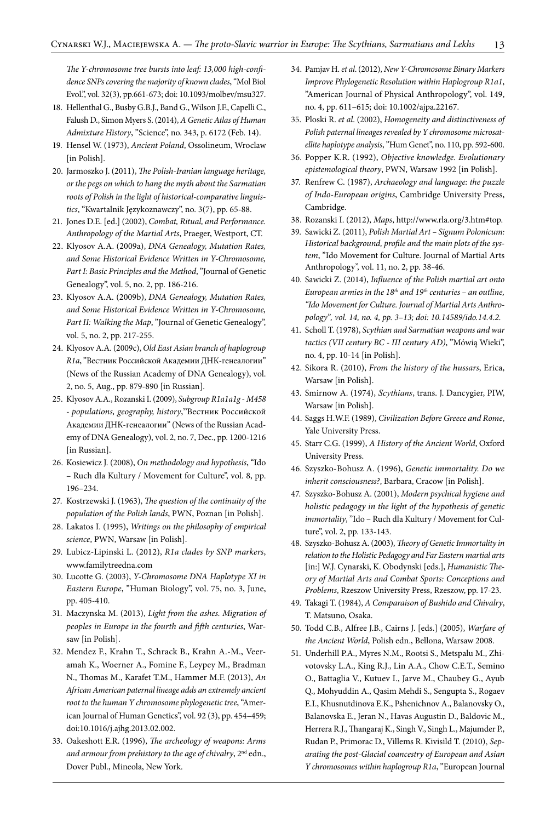*The Y-chromosome tree bursts into leaf: 13,000 high-confidence SNPs covering the majority of known clades*, "Mol Biol Evol.", vol. 32(3), pp.661-673; doi: 10.1093/molbev/msu327.

- 18. Hellenthal G., Busby G.B.J., Band G., Wilson J.F., Capelli C., Falush D., Simon Myers S. (2014), *A Genetic Atlas of Human Admixture History*, "Science", no. 343, p. 6172 (Feb. 14).
- 19. Hensel W. (1973), *Ancient Poland*, Ossolineum, Wroclaw [in Polish].
- 20. Jarmoszko J. (2011), *The Polish-Iranian language heritage, or the pegs on which to hang the myth about the Sarmatian roots of Polish in the light of historical-comparative linguistics*, "Kwartalnik Językoznawczy", no. 3(7), pp. 65-88.
- 21. Jones D.E. [ed.] (2002), *Combat, Ritual, and Performance. Anthropology of the Martial Arts*, Praeger, Westport, CT.
- 22. Klyosov A.A. (2009a), *DNA Genealogy, Mutation Rates, and Some Historical Evidence Written in Y-Chromosome, Part I: Basic Principles and the Method*, "Journal of Genetic Genealogy", vol. 5, no. 2, pp. 186-216.
- 23. Klyosov A.A. (2009b), *DNA Genealogy, Mutation Rates, and Some Historical Evidence Written in Y-Chromosome,*  Part II: Walking the Map, "Journal of Genetic Genealogy", vol. 5, no. 2, pp. 217-255.
- 24. Klyosov A.A. (2009c), *Old East Asian branch of haplogroup R1a*, "Вестник Российской Академии ДНК-генеалогии" (News of the Russian Academy of DNA Genealogy), vol. 2, no. 5, Aug., pp. 879-890 [in Russian].
- 25. Klyosov A.A., Rozanski I. (2009), *Subgroup R1a1a1g M458 - populations, geography, history*,"[Вестник Российской](http://www.lulu.com/items/volume_67/8035000/8035581/1/print/8035581.pdf)  [Академии ДНК-генеалогии"](http://www.lulu.com/items/volume_67/8035000/8035581/1/print/8035581.pdf) (News of the Russian Academy of DNA Genealogy), vol. 2, no. 7, Dec., pp. 1200-1216 [in Russian].
- 26. Kosiewicz J. (2008), *On methodology and hypothesis*, "Ido – Ruch dla Kultury / Movement for Culture", vol. 8, pp. 196–234.
- 27. Kostrzewski J. (1963), *The question of the continuity of the population of the Polish lands*, PWN, Poznan [in Polish].
- 28. Lakatos I. (1995), *Writings on the philosophy of empirical science*, PWN, Warsaw [in Polish].
- 29. Lubicz-Lipinski L. (2012), *R1a clades by SNP markers*, www.familytreedna.com
- 30. Lucotte G. (2003), *Y-Chromosome DNA Haplotype XI in Eastern Europe*, "Human Biology", vol. 75, no. 3, June, pp. 405-410.
- 31. Maczynska M. (2013), *Light from the ashes. Migration of peoples in Europe in the fourth and fifth centuries*, Warsaw [in Polish].
- 32. Mendez F., Krahn T., Schrack B., Krahn A.-M., Veeramah K., Woerner A., Fomine F., Leypey M., Bradman N., Thomas M., Karafet T.M., Hammer M.F. (2013), *An African American paternal lineage adds an extremely ancient root to the human Y chromosome phylogenetic tree*, "American Journal of Human Genetics", vol. 92 (3), pp. 454–459; doi:10.1016/j.ajhg.2013.02.002.
- 33. Oakeshott E.R. (1996), *The archeology of weapons: Arms and armour from prehistory to the age of chivalry*, 2nd edn., Dover Publ., Mineola, New York.
- 34. Pamjav H. *et al*. (2012), *New Y-Chromosome Binary Markers Improve Phylogenetic Resolution within Haplogroup R1a1*, "American Journal of Physical Anthropology", vol. 149, no. 4, pp. 611–615; [doi: 10.1002/ajpa.22167](http://dx.doi.org/10.1002/ajpa.22167).
- 35. Ploski R. *et al*. (2002), *Homogeneity and distinctiveness of Polish paternal lineages revealed by Y chromosome microsatellite haplotype analysis*, "Hum Genet", no. 110, pp. 592-600.
- 36. Popper K.R. (1992), *Objective knowledge. Evolutionary epistemological theory*, PWN, Warsaw 1992 [in Polish].
- 37. Renfrew C. (1987), *Archaeology and language: the puzzle of Indo-European origins*, Cambridge University Press, Cambridge.
- 38. Rozanski I. (2012), *Maps*, http://www.rla.org/3.htm#top.
- 39. Sawicki Z. (2011), *Polish Martial Art Signum Polonicum: Historical background, profile and the main plots of the system*, "Ido Movement for Culture. Journal of Martial Arts Anthropology", vol. 11, no. 2, pp. 38-46.
- 40. Sawicki Z. (2014), *Influence of the Polish martial art onto European armies in the 18th and 19th centuries – an outline, "Ido Movement for Culture. Journal of Martial Arts Anthropology", vol. 14, no. 4, pp. 3–13; doi: 10.14589/ido.14.4.2.*
- 41. Scholl T. (1978), *Scythian and Sarmatian weapons and war tactics (VII century BC - III century AD)*, "Mówią Wieki", no. 4, pp. 10-14 [in Polish].
- 42. Sikora R. (2010), *From the history of the hussars*, Erica, Warsaw [in Polish].
- 43. Smirnow A. (1974), *Scythians*, trans. J. Dancygier, PIW, Warsaw [in Polish].
- 44. Saggs H.W.F. (1989), *Civilization Before Greece and Rome*, Yale University Press.
- 45. Starr C.G. (1999), *A History of the Ancient World*, Oxford University Press.
- 46. Szyszko-Bohusz A. (1996), *Genetic immortality. Do we inherit consciousness?*, Barbara, Cracow [in Polish].
- 47. Szyszko-Bohusz A. (2001), *Modern psychical hygiene and holistic pedagogy in the light of the hypothesis of genetic immortality*, "Ido – Ruch dla Kultury / Movement for Culture", vol. 2, pp. 133-143.
- 48. Szyszko-Bohusz A. (2003), *Theory of Genetic Immortality in relation to the Holistic Pedagogy and Far Eastern martial arts*  [in:] W.J. Cynarski, K. Obodynski [eds.], *Humanistic Theory of Martial Arts and Combat Sports: Conceptions and Problems*, Rzeszow University Press, Rzeszow, pp. 17-23.
- 49. Takagi T. (1984), *A Comparaison of Bushido and Chivalry*, T. Matsuno, Osaka.
- 50. Todd C.B., Alfree J.B., Cairns J. [eds.] (2005), *Warfare of the Ancient World*, Polish edn., Bellona, Warsaw 2008.
- 51. Underhill P.A., Myres N.M., Rootsi S., Metspalu M., Zhivotovsky L.A., King R.J., Lin A.A., Chow C.E.T., Semino O., Battaglia V., Kutuev I., Jarve M., Chaubey G., Ayub Q., Mohyuddin A., Qasim Mehdi S., Sengupta S., Rogaev E.I., Khusnutdinova E.K., Pshenichnov A., Balanovsky O., Balanovska E., Jeran N., Havas Augustin D., Baldovic M., Herrera R.J., Thangaraj K., Singh V., Singh L., Majumder P., Rudan P., Primorac D., Villems R. Kivisild T. (2010), *Separating the post-Glacial coancestry of European and Asian Y chromosomes within haplogroup R1a*, "European Journal